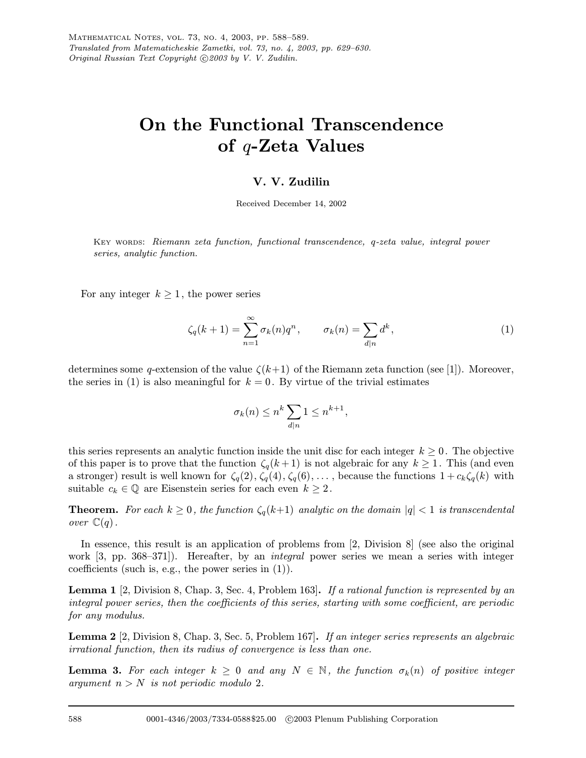## On the Functional Transcendence of q-Zeta Values

## V. V. Zudilin

Received December 14, 2002

KEY WORDS: Riemann zeta function, functional transcendence, q-zeta value, integral power series, analytic function.

For any integer  $k \geq 1$ , the power series

$$
\zeta_q(k+1) = \sum_{n=1}^{\infty} \sigma_k(n) q^n, \qquad \sigma_k(n) = \sum_{d|n} d^k,
$$
\n(1)

determines some q-extension of the value  $\zeta(k+1)$  of the Riemann zeta function (see [1]). Moreover, the series in (1) is also meaningful for  $k = 0$ . By virtue of the trivial estimates

$$
\sigma_k(n) \le n^k \sum_{d|n} 1 \le n^{k+1},
$$

this series represents an analytic function inside the unit disc for each integer  $k \geq 0$ . The objective of this paper is to prove that the function  $\zeta_q(k+1)$  is not algebraic for any  $k \geq 1$ . This (and even a stronger) result is well known for  $\zeta_q(2), \zeta_q(4), \zeta_q(6), \ldots$ , because the functions  $1 + c_k \zeta_q(k)$  with suitable  $c_k \in \mathbb{Q}$  are Eisenstein series for each even  $k \geq 2$ .

**Theorem.** For each  $k \geq 0$ , the function  $\zeta_q(k+1)$  analytic on the domain  $|q| < 1$  is transcendental over  $\mathbb{C}(q)$ .

In essence, this result is an application of problems from [2, Division 8] (see also the original work [3, pp. 368–371]). Hereafter, by an *integral* power series we mean a series with integer coefficients (such is, e.g., the power series in  $(1)$ ).

**Lemma 1** [2, Division 8, Chap. 3, Sec. 4, Problem 163]. If a rational function is represented by an integral power series, then the coefficients of this series, starting with some coefficient, are periodic for any modulus.

Lemma 2 [2, Division 8, Chap. 3, Sec. 5, Problem 167]. If an integer series represents an algebraic irrational function, then its radius of convergence is less than one.

**Lemma 3.** For each integer  $k \geq 0$  and any  $N \in \mathbb{N}$ , the function  $\sigma_k(n)$  of positive integer argument  $n>N$  is not periodic modulo 2.